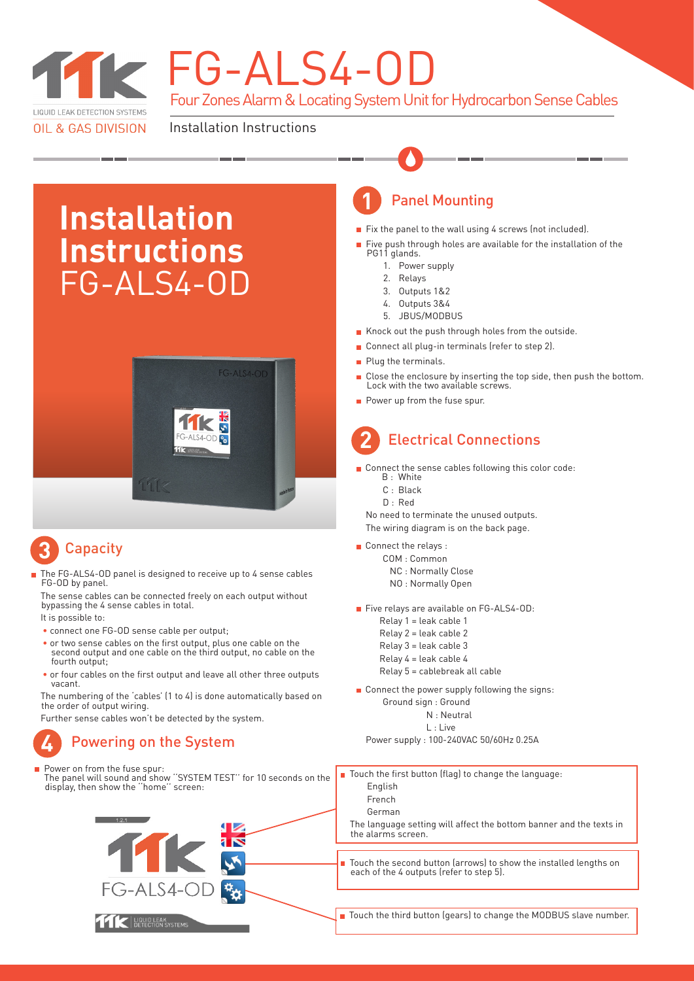

# TK FG-ALS4-OD

Four Zones Alarm & Locating System Unit for Hydrocarbon Sense Cables

Installation Instructions

## **Installation Instructions** FG-ALS4-OD



## **Capacity 3**

 The FG-ALS4-OD panel is designed to receive up to 4 sense cables FG-OD by panel.

 The sense cables can be connected freely on each output without bypassing the 4 sense cables in total.

It is possible to:

- connect one FG-OD sense cable per output;
- or two sense cables on the first output, plus one cable on the second output and one cable on the third output, no cable on the fourth output.
- or four cables on the first output and leave all other three outputs vacant.

 The numbering of the 'cables' (1 to 4) is done automatically based on the order of output wiring.

Further sense cables won't be detected by the system.

## **4** Powering on the System

 Power on from the fuse spur: The panel will sound and show ''SYSTEM TEST'' for 10 seconds on the display, then show the ''home'' screen:



## **1** Panel Mounting

- Fix the panel to the wall using 4 screws (not included).
- **Five push through holes are available for the installation of the** PG11 glands.
	- 1. Power supply
	- 2. Relays
	- 3. Outputs 1&2
	- 4. Outputs 3&4
	- 5. JBUS/MODBUS
- Knock out the push through holes from the outside.
- Connect all plug-in terminals (refer to step 2).
- Plug the terminals.
- Close the enclosure by inserting the top side, then push the bottom. Lock with the two available screws.
- Power up from the fuse spur.

### Electrical Connections **2**

- Connect the sense cables following this color code: B : White
	- C : Black
	- D : Red

 No need to terminate the unused outputs. The wiring diagram is on the back page.

- Connect the relays :
	- COM : Common NC : Normally Close
		- NO : Normally Open
- Five relays are available on FG-ALS4-OD:
	- Relay 1 = leak cable 1 Relay 2 = leak cable 2 Relay 3 = leak cable 3 Relay 4 = leak cable 4
	- Relay 5 = cablebreak all cable
- Connect the power supply following the signs: Ground sign : Ground
	- N : Neutral L : Live

Power supply : 100-240VAC 50/60Hz 0.25A

■ Touch the first button (flag) to change the language: English French

German

 The language setting will affect the bottom banner and the texts in the alarms screen.

 Touch the second button (arrows) to show the installed lengths on each of the 4 outputs (refer to step 5).

Touch the third button (gears) to change the MODBUS slave number.